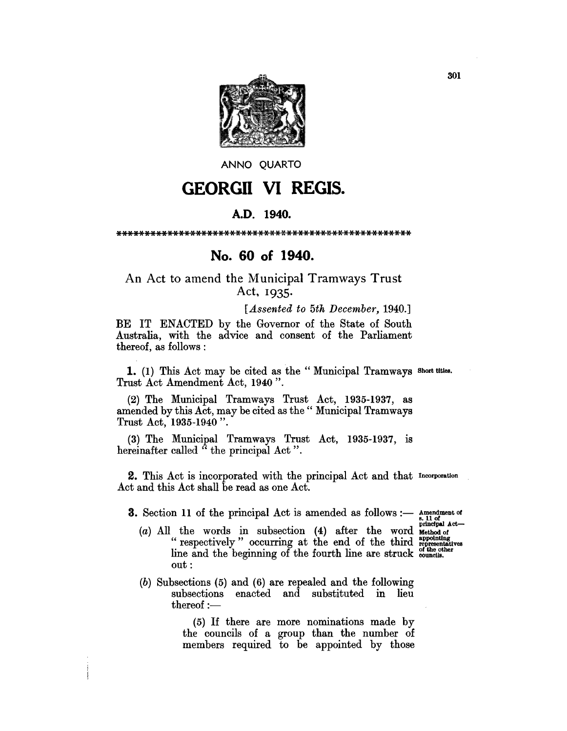

ANNO OUARTO

## **GEORGII VI REGIS.**

## A.D. 1940.

## No. 60 of 1940.

An Act to amend the Municipal Tramways Trust Act, 1935.

[Assented to 5th December, 1940.]

BE IT ENACTED by the Governor of the State of South Australia, with the advice and consent of the Parliament thereof, as follows:

1. (1) This Act may be cited as the "Municipal Tramways Short titles. Trust Act Amendment Act, 1940".

(2) The Municipal Tramways Trust Act, 1935-1937, as amended by this Act, may be cited as the "Municipal Tramways Trust Act, 1935-1940".

(3) The Municipal Tramways Trust Act, 1935-1937, is hereinafter called "the principal Act".

**2.** This Act is incorporated with the principal Act and that Incorporation Act and this Act shall be read as one Act.

**3.** Section 11 of the principal Act is amended as follows :- Amendment of

s. 11 of<br>principal Act-

- (a) All the words in subsection (4) after the word Method of the third interpretatives "espectively" occurring at the end of the third representatives line and the beginning of the fourth line are struck councils.  $out:$
- $(b)$  Subsections  $(5)$  and  $(6)$  are repealed and the following subsections enacted and substituted in lieu  $thereof :$

(5) If there are more nominations made by the councils of a group than the number of members required to be appointed by those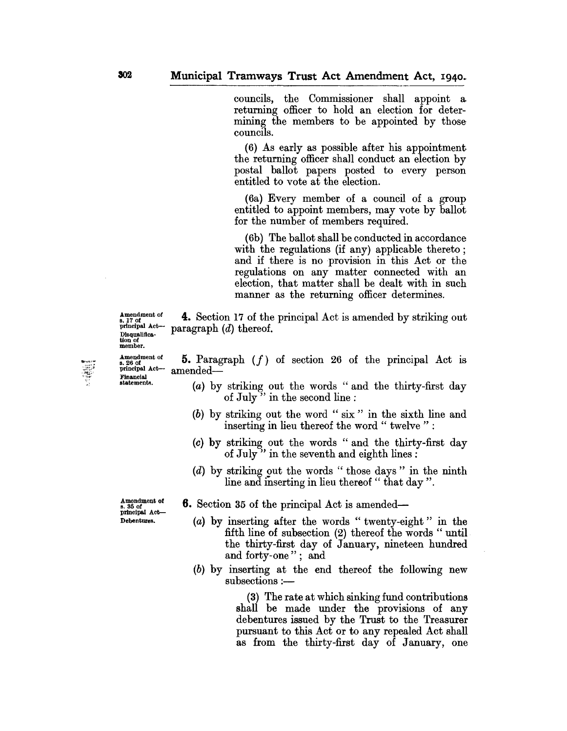councils, the Commissioner shall appoint a. returning officer to hold an election for determining the members to be appointed by those councils.

(6) As early as possible after his appointment the returning officer shall conduct an election by postal ballot papers posted to every person entitled to vote at the election.

(6a) Every member of a council of a group entitled to appoint members, may vote by ballot for the number of members required.

(6b) The ballot shall be conducted in accordance with the regulations (if any) applicable thereto; and if there is no provision in this Act or the regulations on any matter connected with an election, that matter shall be dealt with in such manner as the returning officer determines.

 $\frac{p_{\text{rincipal}}}{p_{\text{t}}}}$  and  $\frac{p_{\text{rincipal}}}{p_{\text{t}}}}$  are paragraph  $(d)$  thereof. **4.** Section 17 of the principal Act is amended by striking out

Amendment of Disqualifica-tion of member.

Financial<br>statements.

Amendment of principal Act-**5.** Paragraph *(I)* of section 26 of the principal Act is  $a$ mended $-$ 

- (a) by striking out the words" and the thirty-first day of July" in the second line :
- (b) by striking out the word" six" in the sixth line and inserting in lieu thereof the word " twelve " :
- (c) by striking out the words" and the thirty-first day of July" in the seventh and eighth lines:
- (d) by striking out the words" those days" in the ninth line and inserting in lieu thereof "that day".

s. 35 of<br>principal Act-

- $_{\text{s. 35 of}}^{\text{Amendment of}}$  **6.** Section 35 of the principal Act is amended-
- Debentures. (a) by inserting after the words " twenty-eight" in the fifth line of subsection (2) thereof the words " until the thirty-first day of January, nineteen hundred and forty-one"; and
	- (b) by inserting at the end thereof the following new  $subsections: -$

(3) The rate at which sinking fund contributions shall be made under the provisions of any debentures issued by the Trust to the Treasurer pursuant to this Act or to any repealed Act shall as from the thirty-first day of January, one